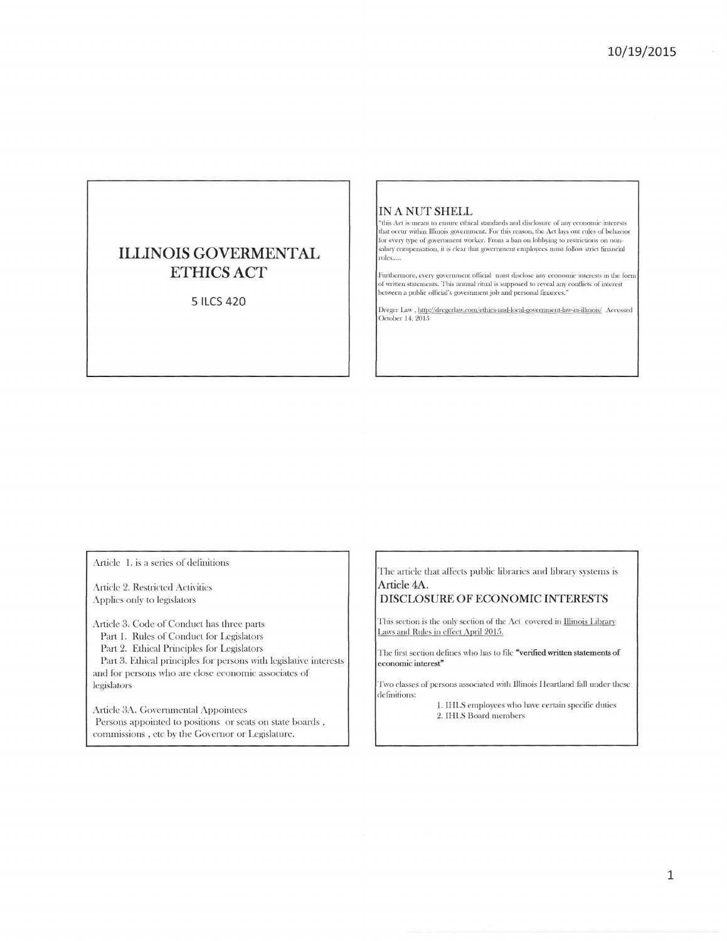# **ILLINOIS GOVERMENTAL ETHICS ACT**

5 ILCS 420

## IN A NUT SHELL

"this Act is meant to ensure ethical standards and disclosure of any economic interests that occur within Illinois government. For this reason, the Act lays out rules of behavior for every type of government worker. From a ban on lobbying to restrictions on nonsalary compensation, it is clear that government employees must follow strict financial rules....

Furthermore, every government official must disclose any economic interests in the form<br>of written statements. This annual ritual is supposed to reveal any conflicts of interest<br>between a public official's government job a

Dreger Law , http://dregerlaw.com/ethics-and-local-government-law-in-illinois/  $\,$  Accessed October 14, 2015

Article 1. is a series of definitions

Article 2. Restricted Activities Applies only to legislators

Article 3. Code of Conduct has three parts Part 1. Rules of Conduct for Legislators Part 2. Ethical Principles for Legislators Part 3. Ethical principles for persons with legislative interests and for persons who are close economic associates of legislators

Article 3A. Governmental Appointees Persons appointed to positions or seats on state boards, commissions, etc by the Governor or Legislature.

The article that affects public libraries and library systems is Article 4A.

### DISCLOSURE OF ECONOMIC INTERESTS

This section is the only section of the Act covered in Illinois Library Laws and Rules in effect April 2015.

The first section defines who has to file "verified written statements of economic interest"

Two classes of persons associated with Illinois Heartland fall under these definitions:

1. IHLS employees who have certain specific duties 2. IHLS Board members